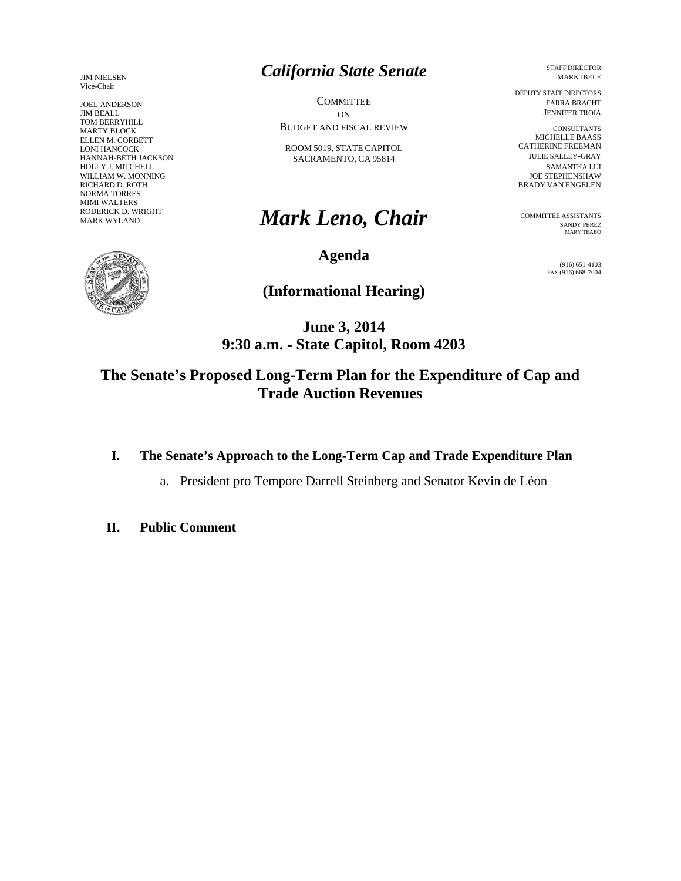JIM NIELSEN Vice-Chair

JOEL ANDERSON JIM BEALL TOM BERRYHILL MARTY BLOCK ELLEN M. CORBETT LONI HANCOCK HANNAH-BETH JACKSON HOLLY J. MITCHELL WILLIAM W. MONNING RICHARD D. ROTH NORMA TORRES MIMI WALTERS RODERICK D. WRIGHT MARK WYLAND



# *California State Senate*

**COMMITTEE** ON BUDGET AND FISCAL REVIEW

ROOM 5019, STATE CAPITOL SACRAMENTO, CA 95814

# *Mark Leno, Chair*

**Agenda** 

**(Informational Hearing)** 

**June 3, 2014 9:30 a.m. - State Capitol, Room 4203** 

**The Senate's Proposed Long-Term Plan for the Expenditure of Cap and Trade Auction Revenues**

- **I. The Senate's Approach to the Long-Term Cap and Trade Expenditure Plan** 
	- a. President pro Tempore Darrell Steinberg and Senator Kevin de Léon
- **II. Public Comment**

 STAFF DIRECTOR MARK IBELE

 DEPUTY STAFF DIRECTORS FARRA BRACHT JENNIFER TROIA

 CONSULTANTS MICHELLE BAASS CATHERINE FREEMAN JULIE SALLEY-GRAY SAMANTHA LUI JOE STEPHENSHAW BRADY VAN ENGELEN

COMMITTEE ASSISTANTS SANDY PEREZ MARY TEABO

> (916) 651-4103 FAX (916) 668-7004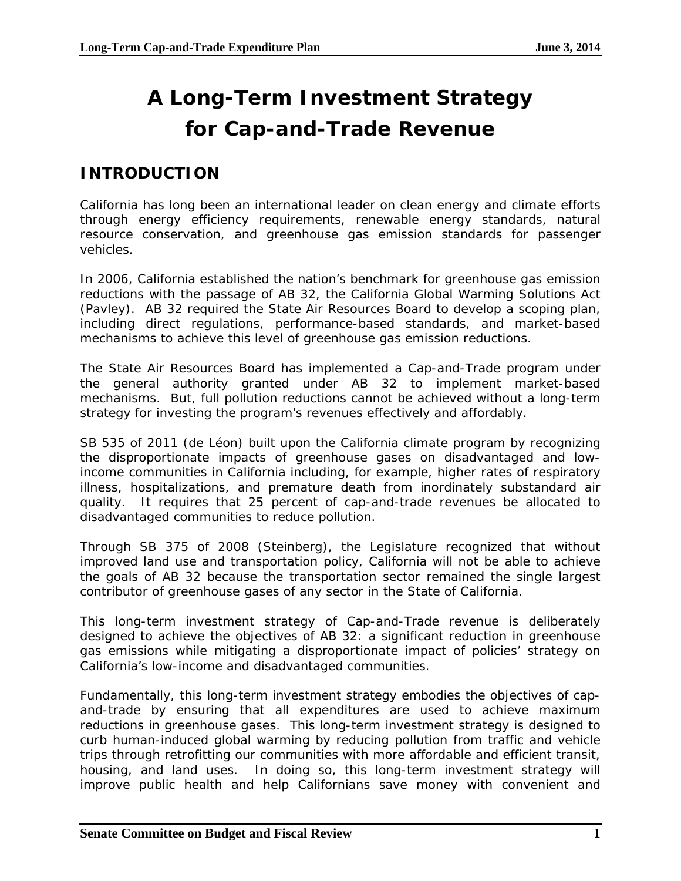# **A Long-Term Investment Strategy for Cap-and-Trade Revenue**

# **INTRODUCTION**

California has long been an international leader on clean energy and climate efforts through energy efficiency requirements, renewable energy standards, natural resource conservation, and greenhouse gas emission standards for passenger vehicles.

In 2006, California established the nation's benchmark for greenhouse gas emission reductions with the passage of AB 32, the California Global Warming Solutions Act (Pavley). AB 32 required the State Air Resources Board to develop a scoping plan, including direct regulations, performance-based standards, and market-based mechanisms to achieve this level of greenhouse gas emission reductions.

The State Air Resources Board has implemented a Cap-and-Trade program under the general authority granted under AB 32 to implement market-based mechanisms. But, full pollution reductions cannot be achieved without a long-term strategy for investing the program's revenues effectively and affordably.

SB 535 of 2011 (de Léon) built upon the California climate program by recognizing the disproportionate impacts of greenhouse gases on disadvantaged and lowincome communities in California including, for example, higher rates of respiratory illness, hospitalizations, and premature death from inordinately substandard air quality. It requires that 25 percent of cap-and-trade revenues be allocated to disadvantaged communities to reduce pollution.

Through SB 375 of 2008 (Steinberg), the Legislature recognized that without improved land use and transportation policy, California will not be able to achieve the goals of AB 32 because the transportation sector remained the single largest contributor of greenhouse gases of any sector in the State of California.

This long-term investment strategy of Cap-and-Trade revenue is deliberately designed to achieve the objectives of AB 32: a significant reduction in greenhouse gas emissions while mitigating a disproportionate impact of policies' strategy on California's low-income and disadvantaged communities.

Fundamentally, this long-term investment strategy embodies the objectives of capand-trade by ensuring that all expenditures are used to achieve maximum reductions in greenhouse gases. This long-term investment strategy is designed to curb human-induced global warming by reducing pollution from traffic and vehicle trips through retrofitting our communities with more affordable and efficient transit, housing, and land uses. In doing so, this long-term investment strategy will improve public health and help Californians save money with convenient and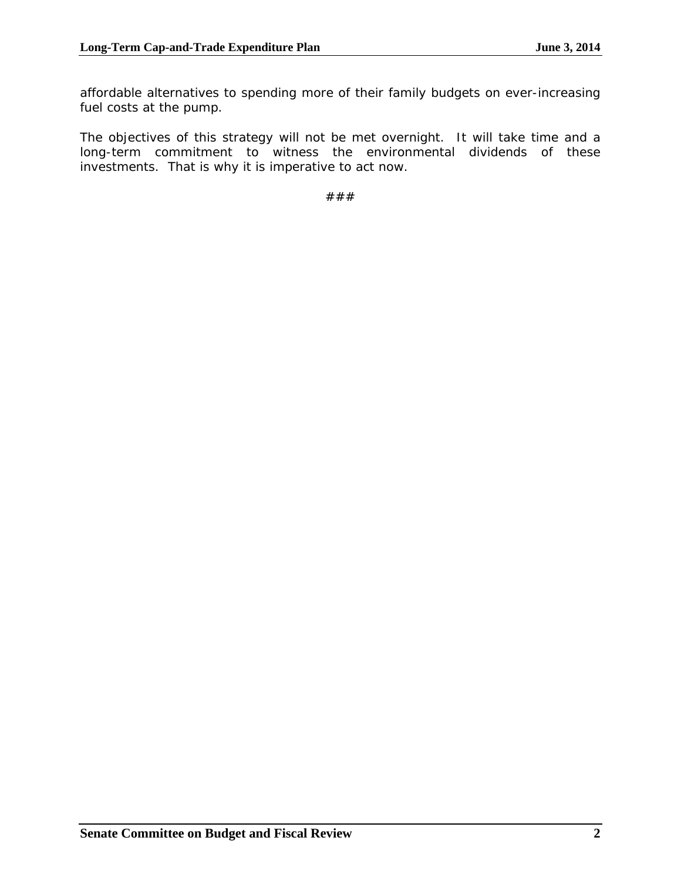affordable alternatives to spending more of their family budgets on ever-increasing fuel costs at the pump.

The objectives of this strategy will not be met overnight. It will take time and a long-term commitment to witness the environmental dividends of these investments. That is why it is imperative to act now.

###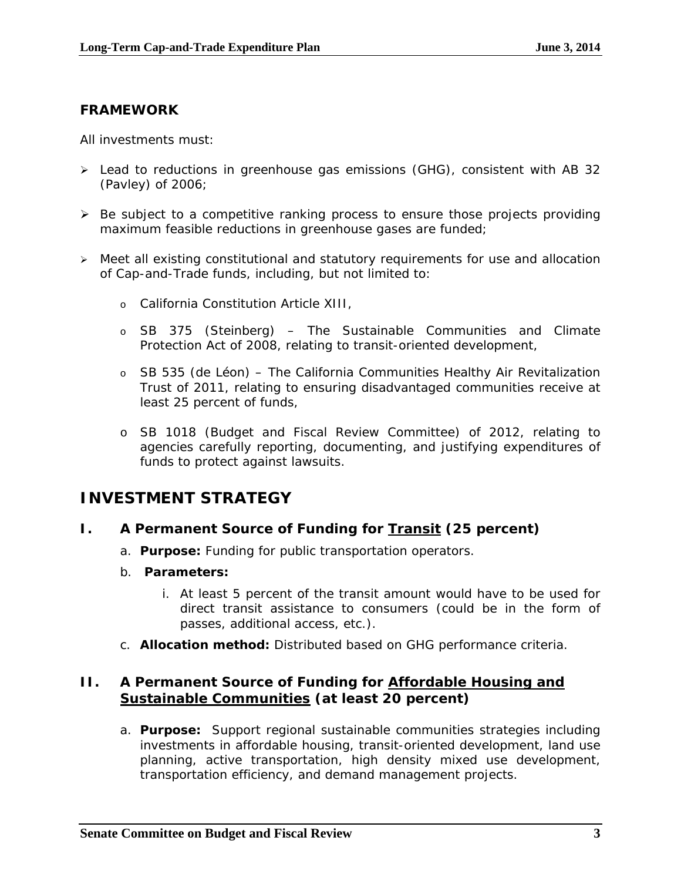### **FRAMEWORK**

All investments must:

- Lead to reductions in greenhouse gas emissions (GHG), consistent with AB 32 (Pavley) of 2006;
- $\triangleright$  Be subject to a competitive ranking process to ensure those projects providing maximum feasible reductions in greenhouse gases are funded;
- Meet all existing constitutional and statutory requirements for use and allocation of Cap-and-Trade funds, including, but not limited to:
	- o California Constitution Article XIII,
	- o SB 375 (Steinberg) The Sustainable Communities and Climate Protection Act of 2008, relating to transit-oriented development,
	- o SB 535 (de Léon) The California Communities Healthy Air Revitalization Trust of 2011, relating to ensuring disadvantaged communities receive at least 25 percent of funds,
	- o SB 1018 (Budget and Fiscal Review Committee) of 2012, relating to agencies carefully reporting, documenting, and justifying expenditures of funds to protect against lawsuits.

# **INVESTMENT STRATEGY**

#### **I. A Permanent Source of Funding for Transit (25 percent)**

- a. *Purpose:* Funding for public transportation operators.
- b. *Parameters:*
	- i. At least 5 percent of the transit amount would have to be used for direct transit assistance to consumers (could be in the form of passes, additional access, etc.).
- c. *Allocation method:* Distributed based on GHG performance criteria.

#### **II. A Permanent Source of Funding for Affordable Housing and Sustainable Communities (at least 20 percent)**

a. *Purpose:* Support regional sustainable communities strategies including investments in affordable housing, transit-oriented development, land use planning, active transportation, high density mixed use development, transportation efficiency, and demand management projects.